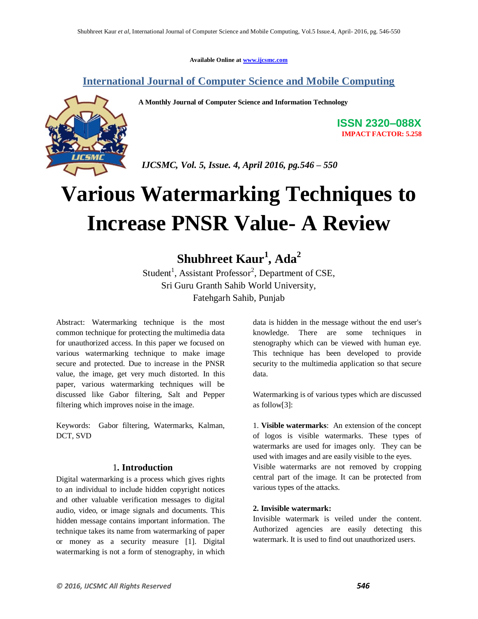**Available Online at www.ijcsmc.com**

### **International Journal of Computer Science and Mobile Computing**

 **A Monthly Journal of Computer Science and Information Technology**



**ISSN 2320–088X IMPACT FACTOR: 5.258**

 *IJCSMC, Vol. 5, Issue. 4, April 2016, pg.546 – 550*

# **Various Watermarking Techniques to Increase PNSR Value- A Review**

## **Shubhreet Kaur<sup>1</sup> , Ada<sup>2</sup>**

Student<sup>1</sup>, Assistant Professor<sup>2</sup>, Department of CSE, Sri Guru Granth Sahib World University, Fatehgarh Sahib, Punjab

Abstract: Watermarking technique is the most common technique for protecting the multimedia data for unauthorized access. In this paper we focused on various watermarking technique to make image secure and protected. Due to increase in the PNSR value, the image, get very much distorted. In this paper, various watermarking techniques will be discussed like Gabor filtering, Salt and Pepper filtering which improves noise in the image.

Keywords: Gabor filtering, Watermarks, Kalman, DCT, SVD

#### 1**. Introduction**

Digital watermarking is a process which gives rights to an individual to include hidden copyright notices and other valuable verification messages to digital audio, video, or image signals and documents. This hidden message contains important information. The technique takes its name from watermarking of paper or money as a security measure [1]. Digital watermarking is not a form of stenography, in which data is hidden in the message without the end user's knowledge. There are some techniques in stenography which can be viewed with human eye. This technique has been developed to provide security to the multimedia application so that secure data.

Watermarking is of various types which are discussed as follow[3]:

1. **Visible watermarks**: An extension of the concept of logos is visible watermarks. These types of watermarks are used for images only. They can be used with images and are easily visible to the eyes.

Visible watermarks are not removed by cropping central part of the image. It can be protected from various types of the attacks.

#### **2. Invisible watermark:**

Invisible watermark is veiled under the content. Authorized agencies are easily detecting this watermark. It is used to find out unauthorized users.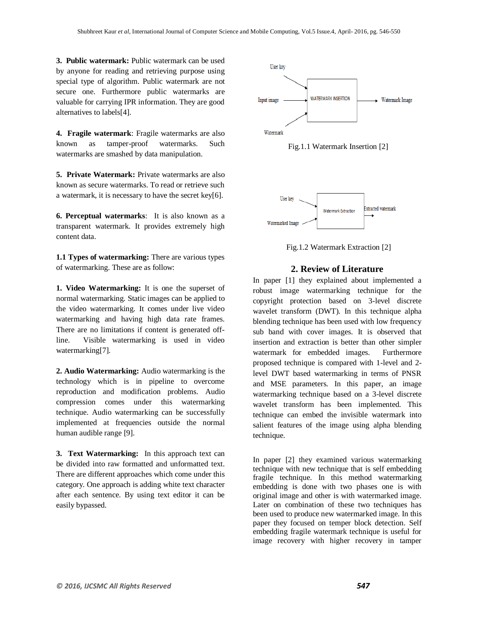**3. Public watermark:** Public watermark can be used by anyone for reading and retrieving purpose using special type of algorithm. Public watermark are not secure one. Furthermore public watermarks are valuable for carrying IPR information. They are good alternatives to labels[4].

**4. Fragile watermark**: Fragile watermarks are also known as tamper-proof watermarks. Such watermarks are smashed by data manipulation.

**5. Private Watermark:** Private watermarks are also known as secure watermarks. To read or retrieve such a watermark, it is necessary to have the secret key[6].

**6. Perceptual watermarks**: It is also known as a transparent watermark. It provides extremely high content data.

**1.1 Types of watermarking:** There are various types of watermarking. These are as follow:

**1. Video Watermarking:** It is one the superset of normal watermarking. Static images can be applied to the video watermarking. It comes under live video watermarking and having high data rate frames. There are no limitations if content is generated offline. Visible watermarking is used in video watermarking[7].

**2. Audio Watermarking:** Audio watermarking is the technology which is in pipeline to overcome reproduction and modification problems. Audio compression comes under this watermarking technique. Audio watermarking can be successfully implemented at frequencies outside the normal human audible range [9].

**3. Text Watermarking:** In this approach text can be divided into raw formatted and unformatted text. There are different approaches which come under this category. One approach is adding white text character after each sentence. By using text editor it can be easily bypassed.







Fig.1.2 Watermark Extraction [2]

#### **2. Review of Literature**

In paper [1] they explained about implemented a robust image watermarking technique for the copyright protection based on 3-level discrete wavelet transform (DWT). In this technique alpha blending technique has been used with low frequency sub band with cover images. It is observed that insertion and extraction is better than other simpler watermark for embedded images. Furthermore proposed technique is compared with 1-level and 2 level DWT based watermarking in terms of PNSR and MSE parameters. In this paper, an image watermarking technique based on a 3-level discrete wavelet transform has been implemented. This technique can embed the invisible watermark into salient features of the image using alpha blending technique.

In paper [2] they examined various watermarking technique with new technique that is self embedding fragile technique. In this method watermarking embedding is done with two phases one is with original image and other is with watermarked image. Later on combination of these two techniques has been used to produce new watermarked image. In this paper they focused on temper block detection. Self embedding fragile watermark technique is useful for image recovery with higher recovery in tamper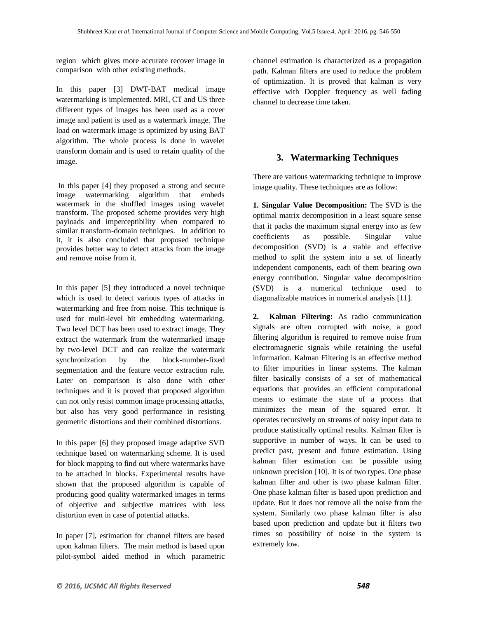region which gives more accurate recover image in comparison with other existing methods.

In this paper [3] DWT-BAT medical image watermarking is implemented. MRI, CT and US three different types of images has been used as a cover image and patient is used as a watermark image. The load on watermark image is optimized by using BAT algorithm. The whole process is done in wavelet transform domain and is used to retain quality of the image.

In this paper [4] they proposed a strong and secure image watermarking algorithm that embeds watermark in the shuffled images using wavelet transform. The proposed scheme provides very high payloads and imperceptibility when compared to similar transform-domain techniques. In addition to it, it is also concluded that proposed technique provides better way to detect attacks from the image and remove noise from it.

In this paper [5] they introduced a novel technique which is used to detect various types of attacks in watermarking and free from noise. This technique is used for multi-level bit embedding watermarking. Two level DCT has been used to extract image. They extract the watermark from the watermarked image by two-level DCT and can realize the watermark synchronization by the block-number-fixed segmentation and the feature vector extraction rule. Later on comparison is also done with other techniques and it is proved that proposed algorithm can not only resist common image processing attacks, but also has very good performance in resisting geometric distortions and their combined distortions.

In this paper [6] they proposed image adaptive SVD technique based on watermarking scheme. It is used for block mapping to find out where watermarks have to be attached in blocks. Experimental results have shown that the proposed algorithm is capable of producing good quality watermarked images in terms of objective and subjective matrices with less distortion even in case of potential attacks.

In paper [7], estimation for channel filters are based upon kalman filters. The main method is based upon pilot-symbol aided method in which parametric channel estimation is characterized as a propagation path. Kalman filters are used to reduce the problem of optimization. It is proved that kalman is very effective with Doppler frequency as well fading channel to decrease time taken.

#### **3. Watermarking Techniques**

There are various watermarking technique to improve image quality. These techniques are as follow:

**1. Singular Value Decomposition:** The SVD is the optimal matrix decomposition in a least square sense that it packs the maximum signal energy into as few coefficients as possible. Singular value decomposition (SVD) is a stable and effective method to split the system into a set of linearly independent components, each of them bearing own energy contribution. Singular value decomposition (SVD) is a numerical technique used to diagonalizable matrices in numerical analysis [11].

**2. Kalman Filtering:** As radio communication signals are often corrupted with noise, a good filtering algorithm is required to remove noise from electromagnetic signals while retaining the useful information. Kalman Filtering is an effective method to filter impurities in linear systems. The kalman filter basically consists of a set of mathematical equations that provides an efficient computational means to estimate the state of a process that minimizes the mean of the squared error. It operates recursively on streams of noisy input data to produce statistically optimal results. Kalman filter is supportive in number of ways. It can be used to predict past, present and future estimation. Using kalman filter estimation can be possible using unknown precision [10]. It is of two types. One phase kalman filter and other is two phase kalman filter. One phase kalman filter is based upon prediction and update. But it does not remove all the noise from the system. Similarly two phase kalman filter is also based upon prediction and update but it filters two times so possibility of noise in the system is extremely low.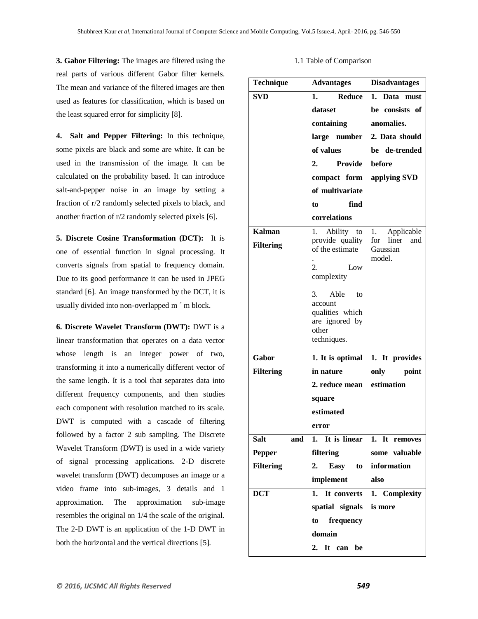**3. Gabor Filtering:** The images are filtered using the real parts of various different Gabor filter kernels. The mean and variance of the filtered images are then used as features for classification, which is based on the least squared error for simplicity [8].

**4. Salt and Pepper Filtering:** In this technique, some pixels are black and some are white. It can be used in the transmission of the image. It can be calculated on the probability based. It can introduce salt-and-pepper noise in an image by setting a fraction of r/2 randomly selected pixels to black, and another fraction of r/2 randomly selected pixels [6].

**5. Discrete Cosine Transformation (DCT):** It is one of essential function in signal processing. It converts signals from spatial to frequency domain. Due to its good performance it can be used in JPEG standard [6]. An image transformed by the DCT, it is usually divided into non-overlapped m ´ m block.

**6. Discrete Wavelet Transform (DWT):** DWT is a linear transformation that operates on a data vector whose length is an integer power of two, transforming it into a numerically different vector of the same length. It is a tool that separates data into different frequency components, and then studies each component with resolution matched to its scale. DWT is computed with a cascade of filtering followed by a factor 2 sub sampling. The Discrete Wavelet Transform (DWT) is used in a wide variety of signal processing applications. 2-D discrete wavelet transform (DWT) decomposes an image or a video frame into sub-images, 3 details and 1 approximation. The approximation sub-image resembles the original on 1/4 the scale of the original. The 2-D DWT is an application of the 1-D DWT in both the horizontal and the vertical directions [5].

| Technique          | <b>Advantages</b>                  | <b>Disadvantages</b>            |
|--------------------|------------------------------------|---------------------------------|
| <b>SVD</b>         | <b>Reduce</b><br>1.                | Data must<br>1.                 |
|                    | dataset                            | be consists of                  |
|                    | containing                         | anomalies.                      |
|                    | large number                       | 2. Data should                  |
|                    | of values                          | be de-trended                   |
|                    | <b>Provide</b><br>2.               | before                          |
|                    | compact form                       | applying SVD                    |
|                    | of multivariate                    |                                 |
|                    | find<br>to                         |                                 |
|                    | correlations                       |                                 |
| <b>Kalman</b>      | 1. Ability to                      | Applicable<br>1.                |
| <b>Filtering</b>   | provide quality<br>of the estimate | liner<br>for<br>and<br>Gaussian |
|                    |                                    | model.                          |
|                    | 2.<br>Low                          |                                 |
|                    | complexity                         |                                 |
|                    | Able<br>3.<br>to                   |                                 |
|                    | account<br>qualities which         |                                 |
|                    | are ignored by                     |                                 |
|                    | other<br>techniques.               |                                 |
|                    |                                    |                                 |
| Gabor              | 1. It is optimal                   | $\overline{1}$ . It provides    |
| <b>Filtering</b>   | in nature                          | only<br>point                   |
|                    | 2. reduce mean                     | estimation                      |
|                    | square                             |                                 |
|                    | estimated                          |                                 |
|                    | error                              |                                 |
| <b>Salt</b><br>and | It is linear<br>1.                 | 1. It removes                   |
| <b>Pepper</b>      | filtering                          | some valuable                   |
| <b>Filtering</b>   | 2.<br>Easy<br>to                   | information                     |
|                    | implement                          | also                            |
| <b>DCT</b>         | 1. It converts                     | 1. Complexity                   |
|                    | spatial signals                    | is more                         |
|                    | to frequency                       |                                 |
|                    | domain                             |                                 |
|                    | 2. It can be                       |                                 |

#### 1.1 Table of Comparison